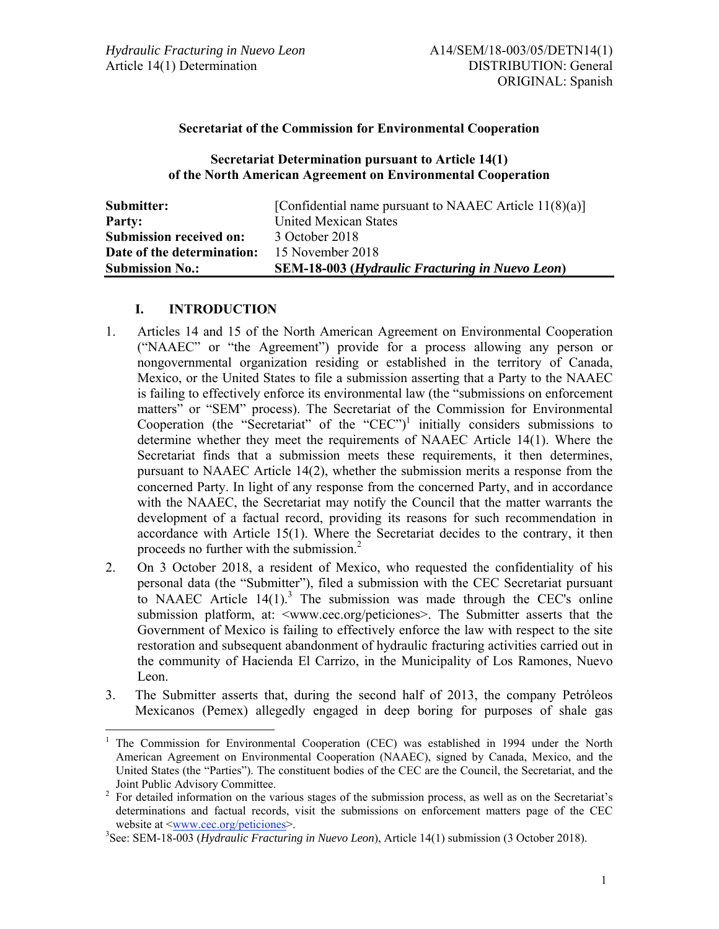## **Secretariat of the Commission for Environmental Cooperation**

#### **Secretariat Determination pursuant to Article 14(1) of the North American Agreement on Environmental Cooperation**

| Submitter:                     | [Confidential name pursuant to NAAEC Article $11(8)(a)$ ] |
|--------------------------------|-----------------------------------------------------------|
| Party:                         | United Mexican States                                     |
| <b>Submission received on:</b> | 3 October 2018                                            |
| Date of the determination:     | 15 November 2018                                          |
| <b>Submission No.:</b>         | <b>SEM-18-003 (Hydraulic Fracturing in Nuevo Leon)</b>    |

## **I. INTRODUCTION**

 $\overline{a}$ 

- 1. Articles 14 and 15 of the North American Agreement on Environmental Cooperation ("NAAEC" or "the Agreement") provide for a process allowing any person or nongovernmental organization residing or established in the territory of Canada, Mexico, or the United States to file a submission asserting that a Party to the NAAEC is failing to effectively enforce its environmental law (the "submissions on enforcement matters" or "SEM" process). The Secretariat of the Commission for Environmental Cooperation (the "Secretariat" of the "CEC")<sup>1</sup> initially considers submissions to determine whether they meet the requirements of NAAEC Article 14(1). Where the Secretariat finds that a submission meets these requirements, it then determines, pursuant to NAAEC Article 14(2), whether the submission merits a response from the concerned Party. In light of any response from the concerned Party, and in accordance with the NAAEC, the Secretariat may notify the Council that the matter warrants the development of a factual record, providing its reasons for such recommendation in accordance with Article 15(1). Where the Secretariat decides to the contrary, it then proceeds no further with the submission.<sup>2</sup>
- 2. On 3 October 2018, a resident of Mexico, who requested the confidentiality of his personal data (the "Submitter"), filed a submission with the CEC Secretariat pursuant to NAAEC Article  $14(1)$ .<sup>3</sup> The submission was made through the CEC's online submission platform, at: <www.cec.org/peticiones>. The Submitter asserts that the Government of Mexico is failing to effectively enforce the law with respect to the site restoration and subsequent abandonment of hydraulic fracturing activities carried out in the community of Hacienda El Carrizo, in the Municipality of Los Ramones, Nuevo Leon.
- 3. The Submitter asserts that, during the second half of 2013, the company Petróleos Mexicanos (Pemex) allegedly engaged in deep boring for purposes of shale gas

<sup>&</sup>lt;sup>1</sup> The Commission for Environmental Cooperation (CEC) was established in 1994 under the North American Agreement on Environmental Cooperation (NAAEC), signed by Canada, Mexico, and the United States (the "Parties"). The constituent bodies of the CEC are the Council, the Secretariat, and the

Joint Public Advisory Committee.<br><sup>2</sup> For detailed information on the various stages of the submission process, as well as on the Secretariat's determinations and factual records, visit the submissions on enforcement matters page of the CEC website at <www.cec.org/peticiones>.

<sup>3</sup> See: SEM-18-003 (*Hydraulic Fracturing in Nuevo Leon*), Article 14(1) submission (3 October 2018).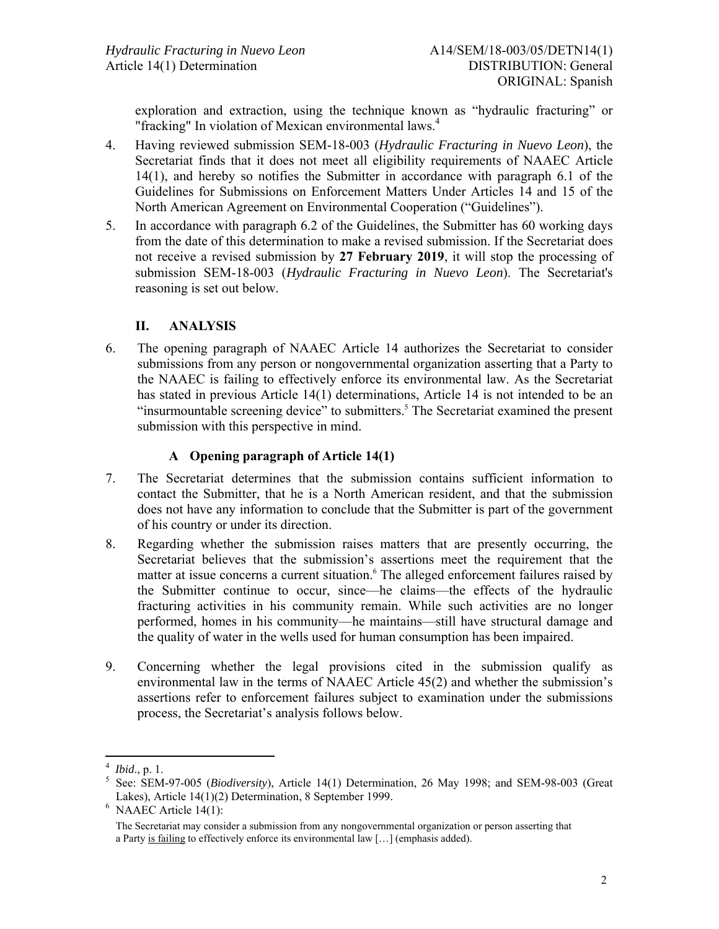exploration and extraction, using the technique known as "hydraulic fracturing" or "fracking" In violation of Mexican environmental laws.<sup>4</sup>

- 4. Having reviewed submission SEM-18-003 (*Hydraulic Fracturing in Nuevo Leon*), the Secretariat finds that it does not meet all eligibility requirements of NAAEC Article 14(1), and hereby so notifies the Submitter in accordance with paragraph 6.1 of the Guidelines for Submissions on Enforcement Matters Under Articles 14 and 15 of the North American Agreement on Environmental Cooperation ("Guidelines").
- 5. In accordance with paragraph 6.2 of the Guidelines, the Submitter has 60 working days from the date of this determination to make a revised submission. If the Secretariat does not receive a revised submission by **27 February 2019**, it will stop the processing of submission SEM-18-003 (*Hydraulic Fracturing in Nuevo Leon*). The Secretariat's reasoning is set out below.

# **II. ANALYSIS**

6. The opening paragraph of NAAEC Article 14 authorizes the Secretariat to consider submissions from any person or nongovernmental organization asserting that a Party to the NAAEC is failing to effectively enforce its environmental law. As the Secretariat has stated in previous Article 14(1) determinations, Article 14 is not intended to be an "insurmountable screening device" to submitters.<sup>5</sup> The Secretariat examined the present submission with this perspective in mind.

## **A Opening paragraph of Article 14(1)**

- 7. The Secretariat determines that the submission contains sufficient information to contact the Submitter, that he is a North American resident, and that the submission does not have any information to conclude that the Submitter is part of the government of his country or under its direction.
- 8. Regarding whether the submission raises matters that are presently occurring, the Secretariat believes that the submission's assertions meet the requirement that the matter at issue concerns a current situation.<sup>6</sup> The alleged enforcement failures raised by the Submitter continue to occur, since—he claims—the effects of the hydraulic fracturing activities in his community remain. While such activities are no longer performed, homes in his community—he maintains—still have structural damage and the quality of water in the wells used for human consumption has been impaired.
- 9. Concerning whether the legal provisions cited in the submission qualify as environmental law in the terms of NAAEC Article 45(2) and whether the submission's assertions refer to enforcement failures subject to examination under the submissions process, the Secretariat's analysis follows below.

<sup>&</sup>lt;sup>4</sup> *Ibid.*, p. 1.<br><sup>5</sup> Sec. SEM

<sup>&</sup>lt;sup>5</sup> See: SEM-97-005 (*Biodiversity*), Article 14(1) Determination, 26 May 1998; and SEM-98-003 (Great Lakes), Article 14(1)(2) Determination, 8 September 1999.

 $6$  NAAEC Article  $14(1)$ :

The Secretariat may consider a submission from any nongovernmental organization or person asserting that a Party is failing to effectively enforce its environmental law […] (emphasis added).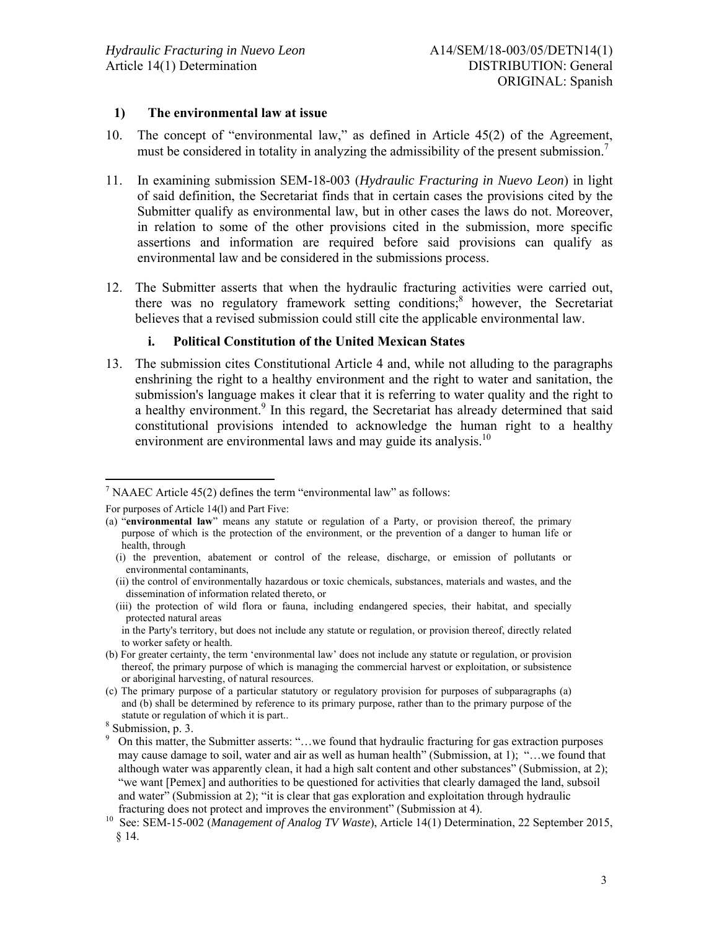#### **1) The environmental law at issue**

- 10. The concept of "environmental law," as defined in Article 45(2) of the Agreement, must be considered in totality in analyzing the admissibility of the present submission.<sup>7</sup>
- 11. In examining submission SEM-18-003 (*Hydraulic Fracturing in Nuevo Leon*) in light of said definition, the Secretariat finds that in certain cases the provisions cited by the Submitter qualify as environmental law, but in other cases the laws do not. Moreover, in relation to some of the other provisions cited in the submission, more specific assertions and information are required before said provisions can qualify as environmental law and be considered in the submissions process.
- 12. The Submitter asserts that when the hydraulic fracturing activities were carried out, there was no regulatory framework setting conditions; however, the Secretariat believes that a revised submission could still cite the applicable environmental law.

## **i. Political Constitution of the United Mexican States**

13. The submission cites Constitutional Article 4 and, while not alluding to the paragraphs enshrining the right to a healthy environment and the right to water and sanitation, the submission's language makes it clear that it is referring to water quality and the right to a healthy environment.<sup>9</sup> In this regard, the Secretariat has already determined that said constitutional provisions intended to acknowledge the human right to a healthy environment are environmental laws and may guide its analysis. $10<sup>10</sup>$ 

 $\overline{a}$ 

<sup>&</sup>lt;sup>7</sup> NAAEC Article 45(2) defines the term "environmental law" as follows:

For purposes of Article 14(l) and Part Five:

<sup>(</sup>a) "**environmental law**" means any statute or regulation of a Party, or provision thereof, the primary purpose of which is the protection of the environment, or the prevention of a danger to human life or health, through

<sup>(</sup>i) the prevention, abatement or control of the release, discharge, or emission of pollutants or environmental contaminants,

<sup>(</sup>ii) the control of environmentally hazardous or toxic chemicals, substances, materials and wastes, and the dissemination of information related thereto, or

<sup>(</sup>iii) the protection of wild flora or fauna, including endangered species, their habitat, and specially protected natural areas

in the Party's territory, but does not include any statute or regulation, or provision thereof, directly related to worker safety or health.

<sup>(</sup>b) For greater certainty, the term 'environmental law' does not include any statute or regulation, or provision thereof, the primary purpose of which is managing the commercial harvest or exploitation, or subsistence or aboriginal harvesting, of natural resources.

<sup>(</sup>c) The primary purpose of a particular statutory or regulatory provision for purposes of subparagraphs (a) and (b) shall be determined by reference to its primary purpose, rather than to the primary purpose of the statute or regulation of which it is part..

<sup>8</sup> Submission, p. 3.

<sup>9</sup> On this matter, the Submitter asserts: "…we found that hydraulic fracturing for gas extraction purposes may cause damage to soil, water and air as well as human health" (Submission, at 1); "…we found that although water was apparently clean, it had a high salt content and other substances" (Submission, at 2); "we want [Pemex] and authorities to be questioned for activities that clearly damaged the land, subsoil and water" (Submission at 2); "it is clear that gas exploration and exploitation through hydraulic fracturing does not protect and improves the environment" (Submission at 4).

<sup>10</sup> See: SEM-15-002 (*Management of Analog TV Waste*), Article 14(1) Determination, 22 September 2015, § 14.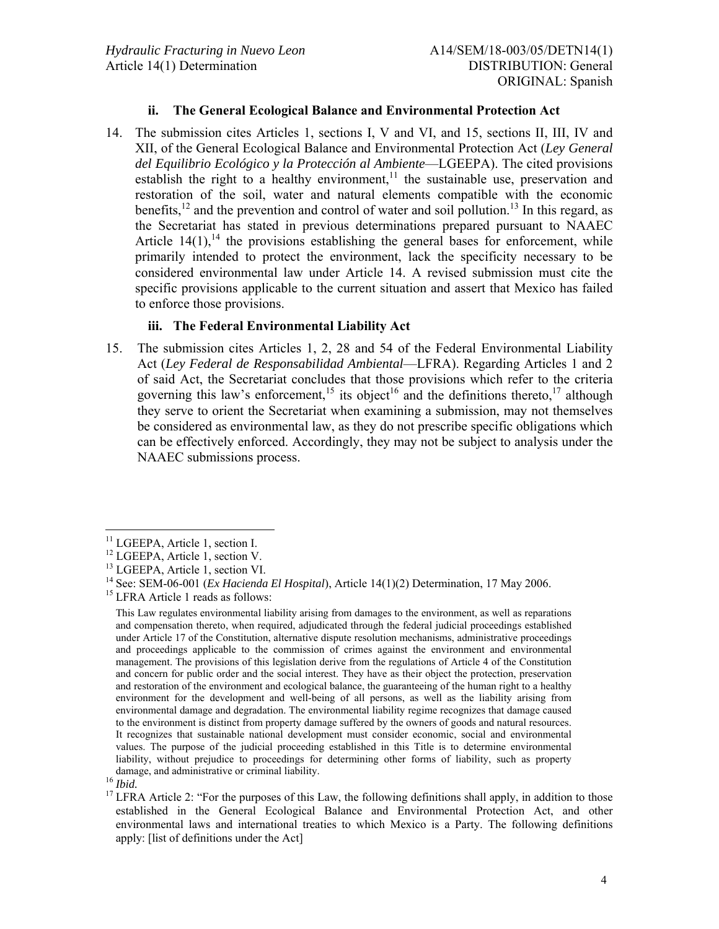#### **ii. The General Ecological Balance and Environmental Protection Act**

14. The submission cites Articles 1, sections I, V and VI, and 15, sections II, III, IV and XII, of the General Ecological Balance and Environmental Protection Act (*Ley General del Equilibrio Ecológico y la Protección al Ambiente*—LGEEPA). The cited provisions establish the right to a healthy environment, $11$  the sustainable use, preservation and restoration of the soil, water and natural elements compatible with the economic benefits,  $^{12}$  and the prevention and control of water and soil pollution.<sup>13</sup> In this regard, as the Secretariat has stated in previous determinations prepared pursuant to NAAEC Article  $14(1)$ , <sup>14</sup> the provisions establishing the general bases for enforcement, while primarily intended to protect the environment, lack the specificity necessary to be considered environmental law under Article 14. A revised submission must cite the specific provisions applicable to the current situation and assert that Mexico has failed to enforce those provisions.

#### **iii. The Federal Environmental Liability Act**

15. The submission cites Articles 1, 2, 28 and 54 of the Federal Environmental Liability Act (*Ley Federal de Responsabilidad Ambiental*—LFRA). Regarding Articles 1 and 2 of said Act, the Secretariat concludes that those provisions which refer to the criteria governing this law's enforcement,<sup>15</sup> its object<sup>16</sup> and the definitions thereto,<sup>17</sup> although they serve to orient the Secretariat when examining a submission, may not themselves be considered as environmental law, as they do not prescribe specific obligations which can be effectively enforced. Accordingly, they may not be subject to analysis under the NAAEC submissions process.

 $\overline{a}$ <sup>11</sup> LGEEPA, Article 1, section I.

<sup>&</sup>lt;sup>12</sup> LGEEPA, Article 1, section V.

<sup>13</sup> LGEEPA, Article 1, section VI.

<sup>&</sup>lt;sup>14</sup> See: SEM-06-001 (*Ex Hacienda El Hospital*), Article 14(1)(2) Determination, 17 May 2006.

<sup>&</sup>lt;sup>15</sup> LFRA Article 1 reads as follows:

This Law regulates environmental liability arising from damages to the environment, as well as reparations and compensation thereto, when required, adjudicated through the federal judicial proceedings established under Article 17 of the Constitution, alternative dispute resolution mechanisms, administrative proceedings and proceedings applicable to the commission of crimes against the environment and environmental management. The provisions of this legislation derive from the regulations of Article 4 of the Constitution and concern for public order and the social interest. They have as their object the protection, preservation and restoration of the environment and ecological balance, the guaranteeing of the human right to a healthy environment for the development and well-being of all persons, as well as the liability arising from environmental damage and degradation. The environmental liability regime recognizes that damage caused to the environment is distinct from property damage suffered by the owners of goods and natural resources. It recognizes that sustainable national development must consider economic, social and environmental values. The purpose of the judicial proceeding established in this Title is to determine environmental liability, without prejudice to proceedings for determining other forms of liability, such as property damage, and administrative or criminal liability.

<sup>16</sup> *Ibid.* 

<sup>&</sup>lt;sup>17</sup> LFRA Article 2: "For the purposes of this Law, the following definitions shall apply, in addition to those established in the General Ecological Balance and Environmental Protection Act, and other environmental laws and international treaties to which Mexico is a Party. The following definitions apply: [list of definitions under the Act]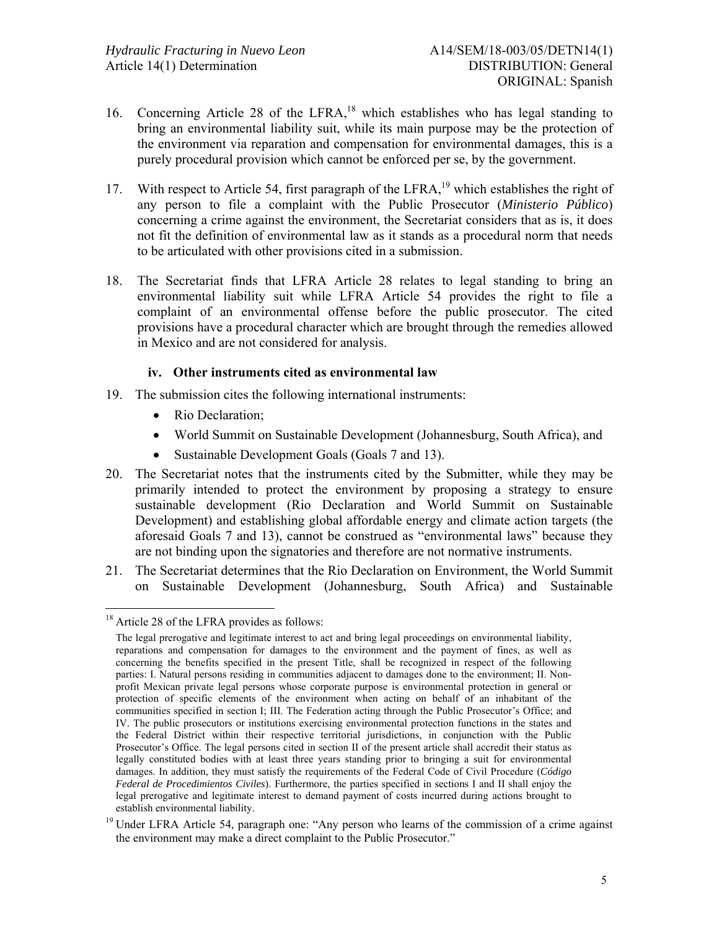- 16. Concerning Article 28 of the LFRA,<sup>18</sup> which establishes who has legal standing to bring an environmental liability suit, while its main purpose may be the protection of the environment via reparation and compensation for environmental damages, this is a purely procedural provision which cannot be enforced per se, by the government.
- 17. With respect to Article 54, first paragraph of the LFRA,<sup>19</sup> which establishes the right of any person to file a complaint with the Public Prosecutor (*Ministerio Público*) concerning a crime against the environment, the Secretariat considers that as is, it does not fit the definition of environmental law as it stands as a procedural norm that needs to be articulated with other provisions cited in a submission.
- 18. The Secretariat finds that LFRA Article 28 relates to legal standing to bring an environmental liability suit while LFRA Article 54 provides the right to file a complaint of an environmental offense before the public prosecutor. The cited provisions have a procedural character which are brought through the remedies allowed in Mexico and are not considered for analysis.

#### **iv. Other instruments cited as environmental law**

- 19. The submission cites the following international instruments:
	- Rio Declaration;
	- World Summit on Sustainable Development (Johannesburg, South Africa), and
	- Sustainable Development Goals (Goals 7 and 13).
- 20. The Secretariat notes that the instruments cited by the Submitter, while they may be primarily intended to protect the environment by proposing a strategy to ensure sustainable development (Rio Declaration and World Summit on Sustainable Development) and establishing global affordable energy and climate action targets (the aforesaid Goals 7 and 13), cannot be construed as "environmental laws" because they are not binding upon the signatories and therefore are not normative instruments.
- 21. The Secretariat determines that the Rio Declaration on Environment, the World Summit on Sustainable Development (Johannesburg, South Africa) and Sustainable

 $\overline{a}$ 

<sup>&</sup>lt;sup>18</sup> Article 28 of the LFRA provides as follows:

The legal prerogative and legitimate interest to act and bring legal proceedings on environmental liability, reparations and compensation for damages to the environment and the payment of fines, as well as concerning the benefits specified in the present Title, shall be recognized in respect of the following parties: I. Natural persons residing in communities adjacent to damages done to the environment; II. Nonprofit Mexican private legal persons whose corporate purpose is environmental protection in general or protection of specific elements of the environment when acting on behalf of an inhabitant of the communities specified in section I; III. The Federation acting through the Public Prosecutor's Office; and IV. The public prosecutors or institutions exercising environmental protection functions in the states and the Federal District within their respective territorial jurisdictions, in conjunction with the Public Prosecutor's Office. The legal persons cited in section II of the present article shall accredit their status as legally constituted bodies with at least three years standing prior to bringing a suit for environmental damages. In addition, they must satisfy the requirements of the Federal Code of Civil Procedure (*Código Federal de Procedimientos Civiles*). Furthermore, the parties specified in sections I and II shall enjoy the legal prerogative and legitimate interest to demand payment of costs incurred during actions brought to establish environmental liability.

<sup>&</sup>lt;sup>19</sup> Under LFRA Article 54, paragraph one: "Any person who learns of the commission of a crime against the environment may make a direct complaint to the Public Prosecutor."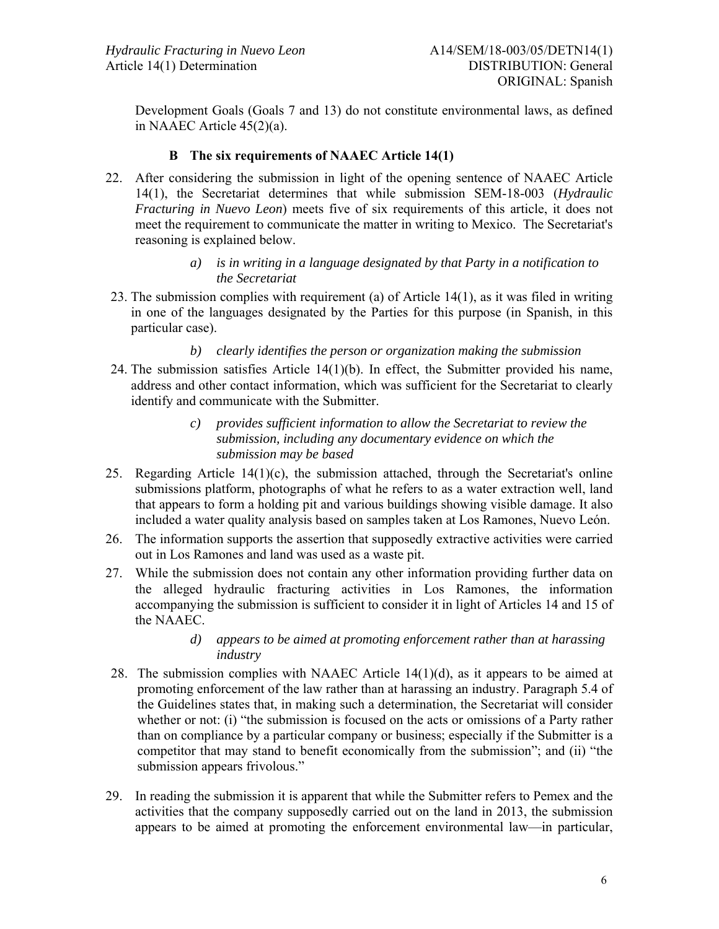Development Goals (Goals 7 and 13) do not constitute environmental laws, as defined in NAAEC Article 45(2)(a).

## **B The six requirements of NAAEC Article 14(1)**

22. After considering the submission in light of the opening sentence of NAAEC Article 14(1), the Secretariat determines that while submission SEM-18-003 (*Hydraulic Fracturing in Nuevo Leon*) meets five of six requirements of this article, it does not meet the requirement to communicate the matter in writing to Mexico. The Secretariat's reasoning is explained below.

#### *a) is in writing in a language designated by that Party in a notification to the Secretariat*

23. The submission complies with requirement (a) of Article 14(1), as it was filed in writing in one of the languages designated by the Parties for this purpose (in Spanish, in this particular case).

## *b) clearly identifies the person or organization making the submission*

- 24. The submission satisfies Article 14(1)(b). In effect, the Submitter provided his name, address and other contact information, which was sufficient for the Secretariat to clearly identify and communicate with the Submitter.
	- *c) provides sufficient information to allow the Secretariat to review the submission, including any documentary evidence on which the submission may be based*
- 25. Regarding Article 14(1)(c), the submission attached, through the Secretariat's online submissions platform, photographs of what he refers to as a water extraction well, land that appears to form a holding pit and various buildings showing visible damage. It also included a water quality analysis based on samples taken at Los Ramones, Nuevo León.
- 26. The information supports the assertion that supposedly extractive activities were carried out in Los Ramones and land was used as a waste pit.
- 27. While the submission does not contain any other information providing further data on the alleged hydraulic fracturing activities in Los Ramones, the information accompanying the submission is sufficient to consider it in light of Articles 14 and 15 of the NAAEC.

#### *d) appears to be aimed at promoting enforcement rather than at harassing industry*

- 28. The submission complies with NAAEC Article 14(1)(d), as it appears to be aimed at promoting enforcement of the law rather than at harassing an industry. Paragraph 5.4 of the Guidelines states that, in making such a determination, the Secretariat will consider whether or not: (i) "the submission is focused on the acts or omissions of a Party rather than on compliance by a particular company or business; especially if the Submitter is a competitor that may stand to benefit economically from the submission"; and (ii) "the submission appears frivolous."
- 29. In reading the submission it is apparent that while the Submitter refers to Pemex and the activities that the company supposedly carried out on the land in 2013, the submission appears to be aimed at promoting the enforcement environmental law—in particular,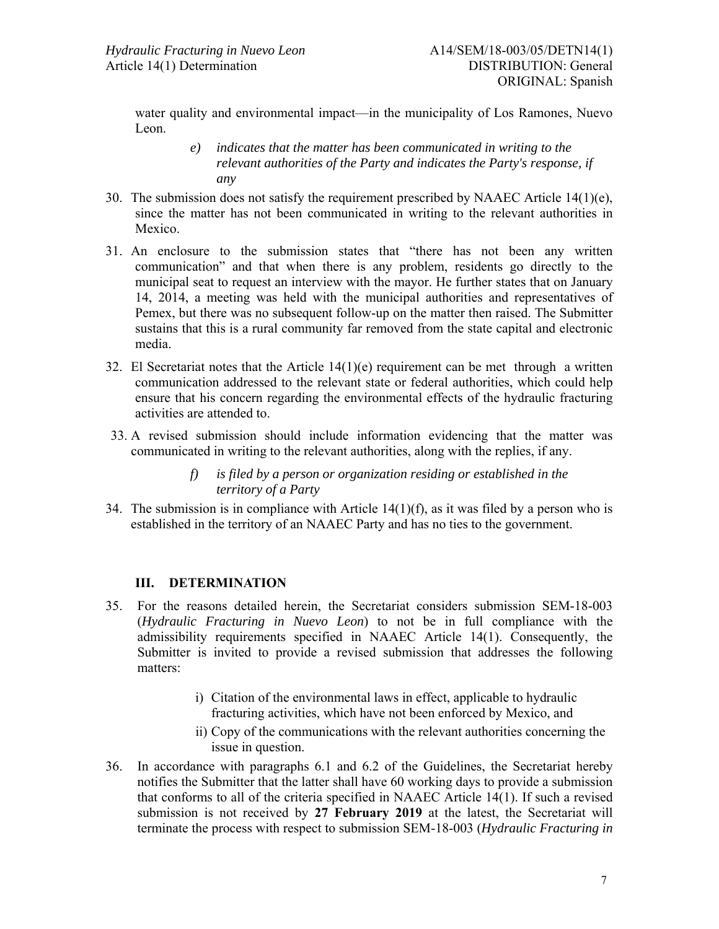water quality and environmental impact—in the municipality of Los Ramones, Nuevo Leon.

- *e) indicates that the matter has been communicated in writing to the relevant authorities of the Party and indicates the Party's response, if any*
- 30. The submission does not satisfy the requirement prescribed by NAAEC Article  $14(1)(e)$ , since the matter has not been communicated in writing to the relevant authorities in Mexico.
- 31. An enclosure to the submission states that "there has not been any written communication" and that when there is any problem, residents go directly to the municipal seat to request an interview with the mayor. He further states that on January 14, 2014, a meeting was held with the municipal authorities and representatives of Pemex, but there was no subsequent follow-up on the matter then raised. The Submitter sustains that this is a rural community far removed from the state capital and electronic media.
- 32. El Secretariat notes that the Article 14(1)(e) requirement can be met through a written communication addressed to the relevant state or federal authorities, which could help ensure that his concern regarding the environmental effects of the hydraulic fracturing activities are attended to.
- 33. A revised submission should include information evidencing that the matter was communicated in writing to the relevant authorities, along with the replies, if any.
	- *f) is filed by a person or organization residing or established in the territory of a Party*
- 34. The submission is in compliance with Article  $14(1)(f)$ , as it was filed by a person who is established in the territory of an NAAEC Party and has no ties to the government.

## **III. DETERMINATION**

- 35. For the reasons detailed herein, the Secretariat considers submission SEM-18-003 (*Hydraulic Fracturing in Nuevo Leon*) to not be in full compliance with the admissibility requirements specified in NAAEC Article 14(1). Consequently, the Submitter is invited to provide a revised submission that addresses the following matters:
	- i) Citation of the environmental laws in effect, applicable to hydraulic fracturing activities, which have not been enforced by Mexico, and
	- ii) Copy of the communications with the relevant authorities concerning the issue in question.
- 36. In accordance with paragraphs 6.1 and 6.2 of the Guidelines, the Secretariat hereby notifies the Submitter that the latter shall have 60 working days to provide a submission that conforms to all of the criteria specified in NAAEC Article 14(1). If such a revised submission is not received by **27 February 2019** at the latest, the Secretariat will terminate the process with respect to submission SEM-18-003 (*Hydraulic Fracturing in*